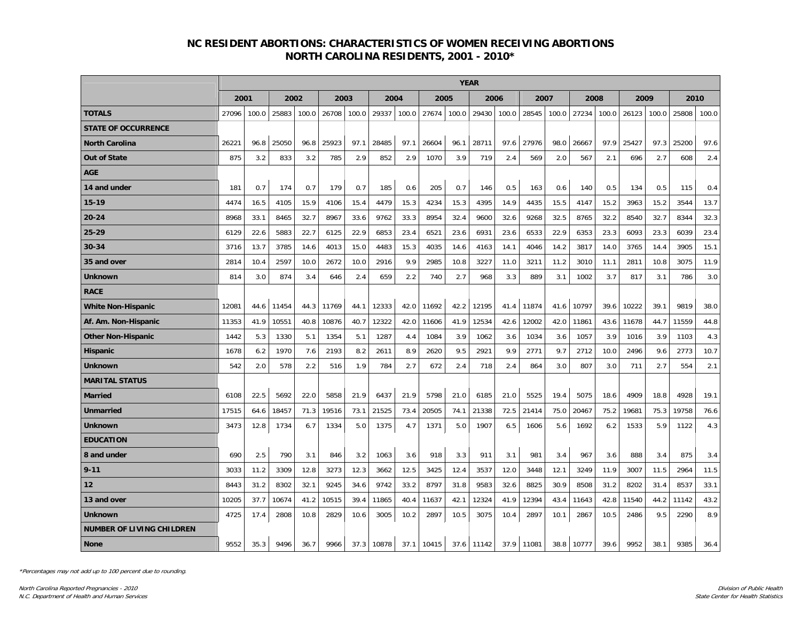## **NC RESIDENT ABORTIONS: CHARACTERISTICS OF WOMEN RECEIVING ABORTIONS NORTH CAROLINA RESIDENTS, 2001 - 2010\***

|                                  | <b>YEAR</b> |       |       |       |       |       |       |       |       |       |       |       |       |       |       |       |       |       |       |       |  |
|----------------------------------|-------------|-------|-------|-------|-------|-------|-------|-------|-------|-------|-------|-------|-------|-------|-------|-------|-------|-------|-------|-------|--|
|                                  |             | 2001  |       | 2002  |       | 2003  |       | 2004  |       | 2005  |       | 2006  |       | 2007  |       | 2008  |       | 2009  |       | 2010  |  |
| <b>TOTALS</b>                    | 27096       | 100.0 | 25883 | 100.0 | 26708 | 100.0 | 29337 | 100.0 | 27674 | 100.0 | 29430 | 100.0 | 28545 | 100.0 | 27234 | 100.0 | 26123 | 100.0 | 25808 | 100.0 |  |
| <b>STATE OF OCCURRENCE</b>       |             |       |       |       |       |       |       |       |       |       |       |       |       |       |       |       |       |       |       |       |  |
| <b>North Carolina</b>            | 26221       | 96.8  | 25050 | 96.8  | 25923 | 97.1  | 28485 | 97.1  | 26604 | 96.1  | 28711 | 97.6  | 27976 | 98.0  | 26667 | 97.9  | 25427 | 97.3  | 25200 | 97.6  |  |
| <b>Out of State</b>              | 875         | 3.2   | 833   | 3.2   | 785   | 2.9   | 852   | 2.9   | 1070  | 3.9   | 719   | 2.4   | 569   | 2.0   | 567   | 2.1   | 696   | 2.7   | 608   | 2.4   |  |
| <b>AGE</b>                       |             |       |       |       |       |       |       |       |       |       |       |       |       |       |       |       |       |       |       |       |  |
| 14 and under                     | 181         | 0.7   | 174   | 0.7   | 179   | 0.7   | 185   | 0.6   | 205   | 0.7   | 146   | 0.5   | 163   | 0.6   | 140   | 0.5   | 134   | 0.5   | 115   | 0.4   |  |
| 15-19                            | 4474        | 16.5  | 4105  | 15.9  | 4106  | 15.4  | 4479  | 15.3  | 4234  | 15.3  | 4395  | 14.9  | 4435  | 15.5  | 4147  | 15.2  | 3963  | 15.2  | 3544  | 13.7  |  |
| $20 - 24$                        | 8968        | 33.1  | 8465  | 32.7  | 8967  | 33.6  | 9762  | 33.3  | 8954  | 32.4  | 9600  | 32.6  | 9268  | 32.5  | 8765  | 32.2  | 8540  | 32.7  | 8344  | 32.3  |  |
| 25-29                            | 6129        | 22.6  | 5883  | 22.7  | 6125  | 22.9  | 6853  | 23.4  | 6521  | 23.6  | 6931  | 23.6  | 6533  | 22.9  | 6353  | 23.3  | 6093  | 23.3  | 6039  | 23.4  |  |
| 30-34                            | 3716        | 13.7  | 3785  | 14.6  | 4013  | 15.0  | 4483  | 15.3  | 4035  | 14.6  | 4163  | 14.1  | 4046  | 14.2  | 3817  | 14.0  | 3765  | 14.4  | 3905  | 15.1  |  |
| 35 and over                      | 2814        | 10.4  | 2597  | 10.0  | 2672  | 10.0  | 2916  | 9.9   | 2985  | 10.8  | 3227  | 11.0  | 3211  | 11.2  | 3010  | 11.1  | 2811  | 10.8  | 3075  | 11.9  |  |
| <b>Unknown</b>                   | 814         | 3.0   | 874   | 3.4   | 646   | 2.4   | 659   | 2.2   | 740   | 2.7   | 968   | 3.3   | 889   | 3.1   | 1002  | 3.7   | 817   | 3.1   | 786   | 3.0   |  |
| <b>RACE</b>                      |             |       |       |       |       |       |       |       |       |       |       |       |       |       |       |       |       |       |       |       |  |
| <b>White Non-Hispanic</b>        | 12081       | 44.6  | 11454 | 44.3  | 11769 | 44.1  | 12333 | 42.0  | 11692 | 42.2  | 12195 | 41.4  | 11874 | 41.6  | 10797 | 39.6  | 10222 | 39.1  | 9819  | 38.0  |  |
| Af. Am. Non-Hispanic             | 11353       | 41.9  | 10551 | 40.8  | 10876 | 40.7  | 12322 | 42.0  | 11606 | 41.9  | 12534 | 42.6  | 12002 | 42.0  | 11861 | 43.6  | 11678 | 44.7  | 11559 | 44.8  |  |
| <b>Other Non-Hispanic</b>        | 1442        | 5.3   | 1330  | 5.1   | 1354  | 5.1   | 1287  | 4.4   | 1084  | 3.9   | 1062  | 3.6   | 1034  | 3.6   | 1057  | 3.9   | 1016  | 3.9   | 1103  | 4.3   |  |
| <b>Hispanic</b>                  | 1678        | 6.2   | 1970  | 7.6   | 2193  | 8.2   | 2611  | 8.9   | 2620  | 9.5   | 2921  | 9.9   | 2771  | 9.7   | 2712  | 10.0  | 2496  | 9.6   | 2773  | 10.7  |  |
| <b>Unknown</b>                   | 542         | 2.0   | 578   | 2.2   | 516   | 1.9   | 784   | 2.7   | 672   | 2.4   | 718   | 2.4   | 864   | 3.0   | 807   | 3.0   | 711   | 2.7   | 554   | 2.1   |  |
| <b>MARITAL STATUS</b>            |             |       |       |       |       |       |       |       |       |       |       |       |       |       |       |       |       |       |       |       |  |
| <b>Married</b>                   | 6108        | 22.5  | 5692  | 22.0  | 5858  | 21.9  | 6437  | 21.9  | 5798  | 21.0  | 6185  | 21.0  | 5525  | 19.4  | 5075  | 18.6  | 4909  | 18.8  | 4928  | 19.1  |  |
| Unmarried                        | 17515       | 64.6  | 18457 | 71.3  | 19516 | 73.1  | 21525 | 73.4  | 20505 | 74.1  | 21338 | 72.5  | 21414 | 75.0  | 20467 | 75.2  | 19681 | 75.3  | 19758 | 76.6  |  |
| Unknown                          | 3473        | 12.8  | 1734  | 6.7   | 1334  | 5.0   | 1375  | 4.7   | 1371  | 5.0   | 1907  | 6.5   | 1606  | 5.6   | 1692  | 6.2   | 1533  | 5.9   | 1122  | 4.3   |  |
| <b>EDUCATION</b>                 |             |       |       |       |       |       |       |       |       |       |       |       |       |       |       |       |       |       |       |       |  |
| 8 and under                      | 690         | 2.5   | 790   | 3.1   | 846   | 3.2   | 1063  | 3.6   | 918   | 3.3   | 911   | 3.1   | 981   | 3.4   | 967   | 3.6   | 888   | 3.4   | 875   | 3.4   |  |
| $9 - 11$                         | 3033        | 11.2  | 3309  | 12.8  | 3273  | 12.3  | 3662  | 12.5  | 3425  | 12.4  | 3537  | 12.0  | 3448  | 12.1  | 3249  | 11.9  | 3007  | 11.5  | 2964  | 11.5  |  |
| 12                               | 8443        | 31.2  | 8302  | 32.1  | 9245  | 34.6  | 9742  | 33.2  | 8797  | 31.8  | 9583  | 32.6  | 8825  | 30.9  | 8508  | 31.2  | 8202  | 31.4  | 8537  | 33.1  |  |
| 13 and over                      | 10205       | 37.7  | 10674 | 41.2  | 10515 | 39.4  | 11865 | 40.4  | 11637 | 42.1  | 12324 | 41.9  | 12394 | 43.4  | 11643 | 42.8  | 11540 | 44.2  | 11142 | 43.2  |  |
| <b>Unknown</b>                   | 4725        | 17.4  | 2808  | 10.8  | 2829  | 10.6  | 3005  | 10.2  | 2897  | 10.5  | 3075  | 10.4  | 2897  | 10.1  | 2867  | 10.5  | 2486  | 9.5   | 2290  | 8.9   |  |
| <b>NUMBER OF LIVING CHILDREN</b> |             |       |       |       |       |       |       |       |       |       |       |       |       |       |       |       |       |       |       |       |  |
| <b>None</b>                      | 9552        | 35.3  | 9496  | 36.7  | 9966  | 37.3  | 10878 | 37.1  | 10415 | 37.6  | 11142 | 37.9  | 11081 | 38.8  | 10777 | 39.6  | 9952  | 38.1  | 9385  | 36.4  |  |

\*Percentages may not add up to 100 percent due to rounding.